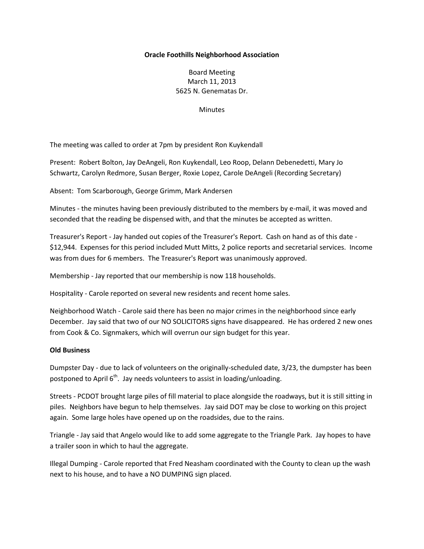## **Oracle Foothills Neighborhood Association**

Board Meeting March 11, 2013 5625 N. Genematas Dr.

**Minutes** 

The meeting was called to order at 7pm by president Ron Kuykendall

Present: Robert Bolton, Jay DeAngeli, Ron Kuykendall, Leo Roop, Delann Debenedetti, Mary Jo Schwartz, Carolyn Redmore, Susan Berger, Roxie Lopez, Carole DeAngeli (Recording Secretary)

Absent: Tom Scarborough, George Grimm, Mark Andersen

Minutes - the minutes having been previously distributed to the members by e-mail, it was moved and seconded that the reading be dispensed with, and that the minutes be accepted as written.

Treasurer's Report - Jay handed out copies of the Treasurer's Report. Cash on hand as of this date - \$12,944. Expenses for this period included Mutt Mitts, 2 police reports and secretarial services. Income was from dues for 6 members. The Treasurer's Report was unanimously approved.

Membership - Jay reported that our membership is now 118 households.

Hospitality - Carole reported on several new residents and recent home sales.

Neighborhood Watch - Carole said there has been no major crimes in the neighborhood since early December. Jay said that two of our NO SOLICITORS signs have disappeared. He has ordered 2 new ones from Cook & Co. Signmakers, which will overrun our sign budget for this year.

## **Old Business**

Dumpster Day - due to lack of volunteers on the originally-scheduled date, 3/23, the dumpster has been postponed to April  $6<sup>th</sup>$ . Jay needs volunteers to assist in loading/unloading.

Streets - PCDOT brought large piles of fill material to place alongside the roadways, but it is still sitting in piles. Neighbors have begun to help themselves. Jay said DOT may be close to working on this project again. Some large holes have opened up on the roadsides, due to the rains.

Triangle - Jay said that Angelo would like to add some aggregate to the Triangle Park. Jay hopes to have a trailer soon in which to haul the aggregate.

Illegal Dumping - Carole reported that Fred Neasham coordinated with the County to clean up the wash next to his house, and to have a NO DUMPING sign placed.